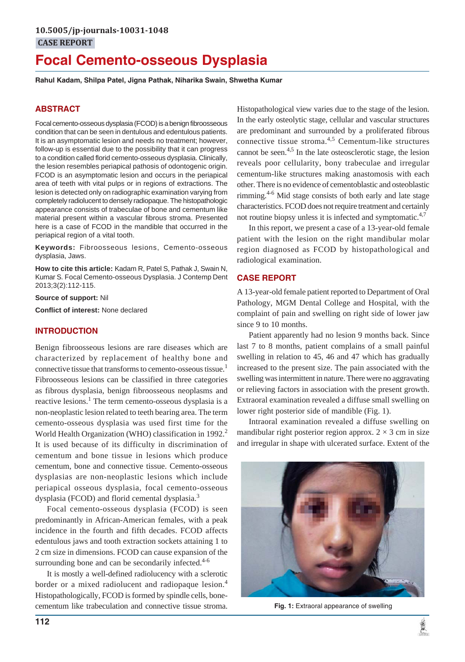# **Focal Cemento-osseous Dysplasia**

**Rahul Kadam, Shilpa Patel, Jigna Pathak, Niharika Swain, Shwetha Kumar**

# **ABSTRACT**

Focal cemento-osseous dysplasia (FCOD) is a benign fibroosseous condition that can be seen in dentulous and edentulous patients. It is an asymptomatic lesion and needs no treatment; however, follow-up is essential due to the possibility that it can progress to a condition called florid cemento-osseous dysplasia. Clinically, the lesion resembles periapical pathosis of odontogenic origin. FCOD is an asymptomatic lesion and occurs in the periapical area of teeth with vital pulps or in regions of extractions. The lesion is detected only on radiographic examination varying from completely radiolucent to densely radiopaque. The histopathologic appearance consists of trabeculae of bone and cementum like material present within a vascular fibrous stroma. Presented here is a case of FCOD in the mandible that occurred in the periapical region of a vital tooth.

**Keywords:** Fibroosseous lesions, Cemento-osseous dysplasia, Jaws.

**How to cite this article:** Kadam R, Patel S, Pathak J, Swain N, Kumar S. Focal Cemento-osseous Dysplasia. J Contemp Dent 2013;3(2):112-115.

**Source of support:** Nil

**Conflict of interest:** None declared

# **INTRODUCTION**

Benign fibroosseous lesions are rare diseases which are characterized by replacement of healthy bone and connective tissue that transforms to cemento-osseous tissue.<sup>1</sup> Fibroosseous lesions can be classified in three categories as fibrous dysplasia, benign fibroosseous neoplasms and reactive lesions.<sup>1</sup> The term cemento-osseous dysplasia is a non-neoplastic lesion related to teeth bearing area. The term cemento-osseous dysplasia was used first time for the World Health Organization (WHO) classification in 1992.<sup>2</sup> It is used because of its difficulty in discrimination of cementum and bone tissue in lesions which produce cementum, bone and connective tissue. Cemento-osseous dysplasias are non-neoplastic lesions which include periapical osseous dysplasia, focal cemento-osseous dysplasia (FCOD) and florid cemental dysplasia.<sup>3</sup>

Focal cemento-osseous dysplasia (FCOD) is seen predominantly in African-American females, with a peak incidence in the fourth and fifth decades. FCOD affects edentulous jaws and tooth extraction sockets attaining 1 to 2 cm size in dimensions. FCOD can cause expansion of the surrounding bone and can be secondarily infected. $4-6$ 

It is mostly a well-defined radiolucency with a sclerotic border or a mixed radiolucent and radiopaque lesion.<sup>4</sup> Histopathologically, FCOD is formed by spindle cells, bonecementum like trabeculation and connective tissue stroma.

Histopathological view varies due to the stage of the lesion. In the early osteolytic stage, cellular and vascular structures are predominant and surrounded by a proliferated fibrous connective tissue stroma.<sup>4,5</sup> Cementum-like structures cannot be seen.4,5 In the late osteosclerotic stage, the lesion reveals poor cellularity, bony trabeculae and irregular cementum-like structures making anastomosis with each other. There is no evidence of cementoblastic and osteoblastic rimming. $4-6$  Mid stage consists of both early and late stage characteristics. FCOD does not require treatment and certainly not routine biopsy unless it is infected and symptomatic.<sup>4,7</sup>

In this report, we present a case of a 13-year-old female patient with the lesion on the right mandibular molar region diagnosed as FCOD by histopathological and radiological examination.

# **CASE REPORT**

A 13-year-old female patient reported to Department of Oral Pathology, MGM Dental College and Hospital, with the complaint of pain and swelling on right side of lower jaw since 9 to 10 months.

Patient apparently had no lesion 9 months back. Since last 7 to 8 months, patient complains of a small painful swelling in relation to 45, 46 and 47 which has gradually increased to the present size. The pain associated with the swelling was intermittent in nature. There were no aggravating or relieving factors in association with the present growth. Extraoral examination revealed a diffuse small swelling on lower right posterior side of mandible (Fig. 1).

Intraoral examination revealed a diffuse swelling on mandibular right posterior region approx.  $2 \times 3$  cm in size and irregular in shape with ulcerated surface. Extent of the



**Fig. 1:** Extraoral appearance of swelling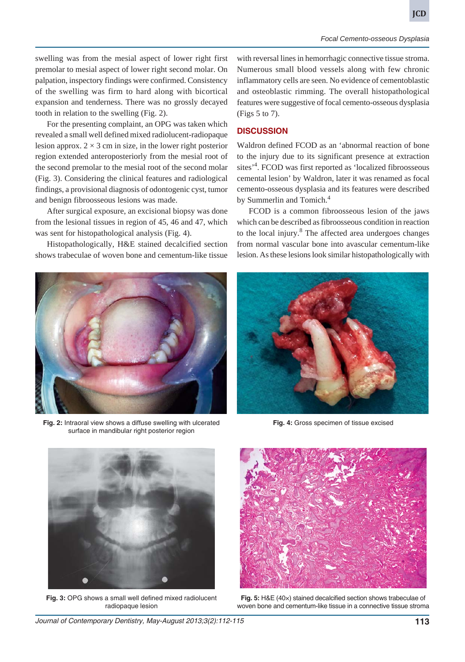swelling was from the mesial aspect of lower right first premolar to mesial aspect of lower right second molar. On palpation, inspectory findings were confirmed. Consistency of the swelling was firm to hard along with bicortical expansion and tenderness. There was no grossly decayed tooth in relation to the swelling (Fig. 2).

For the presenting complaint, an OPG was taken which revealed a small well defined mixed radiolucent-radiopaque lesion approx.  $2 \times 3$  cm in size, in the lower right posterior region extended anteroposteriorly from the mesial root of the second premolar to the mesial root of the second molar (Fig. 3). Considering the clinical features and radiological findings, a provisional diagnosis of odontogenic cyst, tumor and benign fibroosseous lesions was made.

After surgical exposure, an excisional biopsy was done from the lesional tissues in region of 45, 46 and 47, which was sent for histopathological analysis (Fig. 4).

Histopathologically, H&E stained decalcified section shows trabeculae of woven bone and cementum-like tissue



### **DISCUSSION**

Waldron defined FCOD as an 'abnormal reaction of bone to the injury due to its significant presence at extraction sites<sup>'4</sup>. FCOD was first reported as 'localized fibroosseous cemental lesion' by Waldron, later it was renamed as focal cemento-osseous dysplasia and its features were described by Summerlin and Tomich.<sup>4</sup>

FCOD is a common fibroosseous lesion of the jaws which can be described as fibroosseous condition in reaction to the local injury.<sup>8</sup> The affected area undergoes changes from normal vascular bone into avascular cementum-like lesion. As these lesions look similar histopathologically with



**Fig. 2:** Intraoral view shows a diffuse swelling with ulcerated surface in mandibular right posterior region



**Fig. 4:** Gross specimen of tissue excised



**Fig. 3:** OPG shows a small well defined mixed radiolucent radiopaque lesion



**Fig. 5:** H&E (40×) stained decalcified section shows trabeculae of woven bone and cementum-like tissue in a connective tissue stroma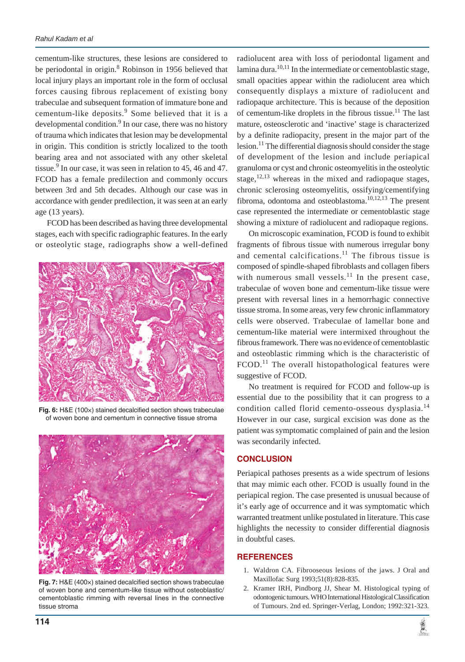cementum-like structures, these lesions are considered to be periodontal in origin.<sup>8</sup> Robinson in 1956 believed that local injury plays an important role in the form of occlusal forces causing fibrous replacement of existing bony trabeculae and subsequent formation of immature bone and cementum-like deposits.<sup>9</sup> Some believed that it is a developmental condition.<sup>9</sup> In our case, there was no history of trauma which indicates that lesion may be developmental in origin. This condition is strictly localized to the tooth bearing area and not associated with any other skeletal tissue.<sup>9</sup> In our case, it was seen in relation to 45, 46 and 47. FCOD has a female predilection and commonly occurs between 3rd and 5th decades. Although our case was in accordance with gender predilection, it was seen at an early age (13 years).

FCOD has been described as having three developmental stages, each with specific radiographic features. In the early or osteolytic stage, radiographs show a well-defined



**Fig. 6:** H&E (100×) stained decalcified section shows trabeculae of woven bone and cementum in connective tissue stroma



**Fig. 7:** H&E (400×) stained decalcified section shows trabeculae of woven bone and cementum-like tissue without osteoblastic/ cementoblastic rimming with reversal lines in the connective tissue stroma

radiolucent area with loss of periodontal ligament and lamina dura.<sup>10,11</sup> In the intermediate or cementoblastic stage, small opacities appear within the radiolucent area which consequently displays a mixture of radiolucent and radiopaque architecture. This is because of the deposition of cementum-like droplets in the fibrous tissue.<sup>11</sup> The last mature, osteosclerotic and 'inactive' stage is characterized by a definite radiopacity, present in the major part of the lesion.<sup>11</sup> The differential diagnosis should consider the stage of development of the lesion and include periapical granuloma or cyst and chronic osteomyelitis in the osteolytic stage,  $12,13$  whereas in the mixed and radiopaque stages, chronic sclerosing osteomyelitis, ossifying/cementifying fibroma, odontoma and osteoblastoma. $10,12,13$  The present case represented the intermediate or cementoblastic stage showing a mixture of radiolucent and radiopaque regions.

On microscopic examination, FCOD is found to exhibit fragments of fibrous tissue with numerous irregular bony and cemental calcifications. $11$  The fibrous tissue is composed of spindle-shaped fibroblasts and collagen fibers with numerous small vessels.<sup>11</sup> In the present case, trabeculae of woven bone and cementum-like tissue were present with reversal lines in a hemorrhagic connective tissue stroma. In some areas, very few chronic inflammatory cells were observed. Trabeculae of lamellar bone and cementum-like material were intermixed throughout the fibrous framework. There was no evidence of cementoblastic and osteoblastic rimming which is the characteristic of  $F COD.$ <sup>11</sup> The overall histopathological features were suggestive of FCOD.

No treatment is required for FCOD and follow-up is essential due to the possibility that it can progress to a condition called florid cemento-osseous dysplasia.<sup>14</sup> However in our case, surgical excision was done as the patient was symptomatic complained of pain and the lesion was secondarily infected.

# **CONCLUSION**

Periapical pathoses presents as a wide spectrum of lesions that may mimic each other. FCOD is usually found in the periapical region. The case presented is unusual because of it's early age of occurrence and it was symptomatic which warranted treatment unlike postulated in literature. This case highlights the necessity to consider differential diagnosis in doubtful cases.

### **REFERENCES**

- 1. Waldron CA. Fibrooseous lesions of the jaws. J Oral and Maxillofac Surg 1993;51(8):828-835.
- 2. Kramer IRH, Pindborg JJ, Shear M. Histological typing of odontogenic tumours. WHO International Histological Classification of Tumours. 2nd ed. Springer-Verlag, London; 1992:321-323.